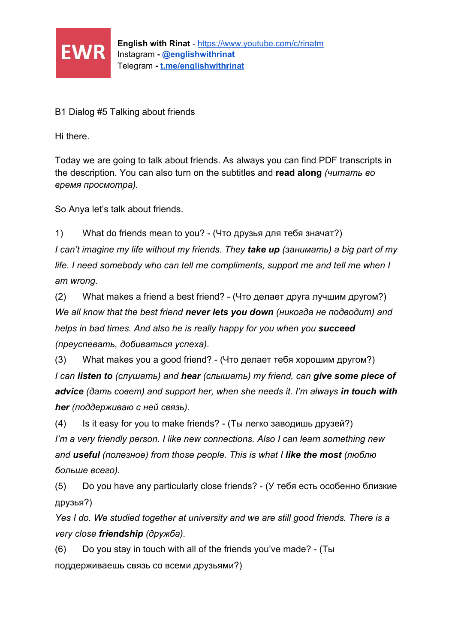

B1 Dialog #5 Talking about friends

Hi there.

Today we are going to talk about friends. As always you can find PDF transcripts in the description. You can also turn on the subtitles and **read along** *(читать во время просмотра).*

So Anya let's talk about friends.

1) What do friends mean to you? - (Что друзья для тебя значат?) *I can't imagine my life without my friends. They take up (занимать) a big part of my life. I need somebody who can tell me compliments, support me and tell me when I am wrong.*

(2) What makes a friend a best friend? - (Что делает друга лучшим другом?) *We all know that the best friend never lets you down (никогда не подводит) and helps in bad times. And also he is really happy for you when you succeed (преуспевать, добиваться успеха).*

(3) What makes you a good friend? - (Что делает тебя хорошим другом?) *I can listen to (слушать) and hear (слышать) my friend, can give some piece of advice (дать совет) and support her, when she needs it. I'm always in touch with her (поддерживаю с ней связь).*

(4) Is it easy for you to make friends? - (Ты легко заводишь друзей?) *I'm a very friendly person. I like new connections. Also I can learn something new and useful (полезное) from those people. This is what I like the most (люблю больше всего).*

(5) Do you have any particularly close friends? - (У тебя есть особенно близкие друзья?)

*Yes I do. We studied together at university and we are still good friends. There is a very close friendship (дружба).*

(6) Do you stay in touch with all of the friends you've made? - (Ты поддерживаешь связь со всеми друзьями?)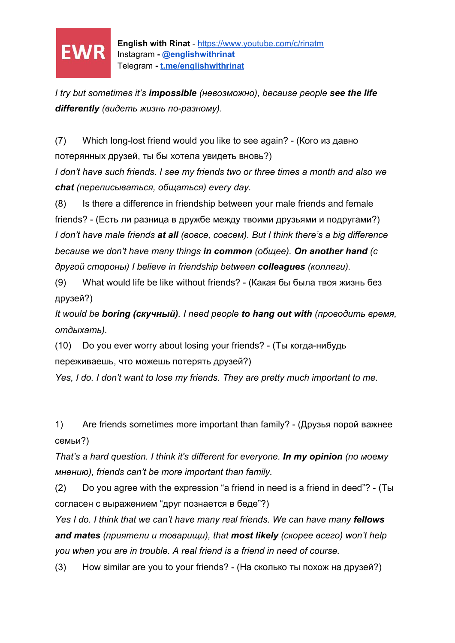

**English with Rinat** - <https://www.youtube.com/c/rinatm> Instagram **- [@englishwithrinat](https://instagram.com/englishwithrinat)** Telegram **- [t.me/englishwithrinat](https://t.me/englishwithrinat)**

*I try but sometimes it's impossible (невозможно), because people see the life differently (видеть жизнь по-разному).*

(7) Which long-lost friend would you like to see again? - (Кого из давно потерянных друзей, ты бы хотела увидеть вновь?)

*I don't have such friends. I see my friends two or three times a month and also we chat (переписываться, общаться) every day.*

(8) Is there a difference in friendship between your male friends and female friends? - (Есть ли разница в дружбе между твоими друзьями и подругами?) *I don't have male friends at all (вовсе, совсем). But I think there's a big difference because we don't have many things in common (общее). On another hand (с другой стороны) I believe in friendship between colleagues (коллеги).*

(9) What would life be like without friends? - (Какая бы была твоя жизнь без друзей?)

*It would be boring (скучный). I need people to hang out with (проводить время, отдыхать).*

(10) Do you ever worry about losing your friends? - (Ты когда-нибудь переживаешь, что можешь потерять друзей?)

*Yes, I do. I don't want to lose my friends. They are pretty much important to me.*

1) Are friends sometimes more important than family? - (Друзья порой важнее семьи?)

*That's a hard question. I think it's different for everyone. In my opinion (по моему мнению), friends can't be more important than family.*

(2) Do you agree with the expression "a friend in need is a friend in deed"? - (Ты согласен с выражением "друг познается в беде"?)

*Yes I do. I think that we can't have many real friends. We can have many fellows and mates (приятели и товарищи), that most likely (скорее всего) won't help you when you are in trouble. A real friend is a friend in need of course.*

(3) How similar are you to your friends? - (На сколько ты похож на друзей?)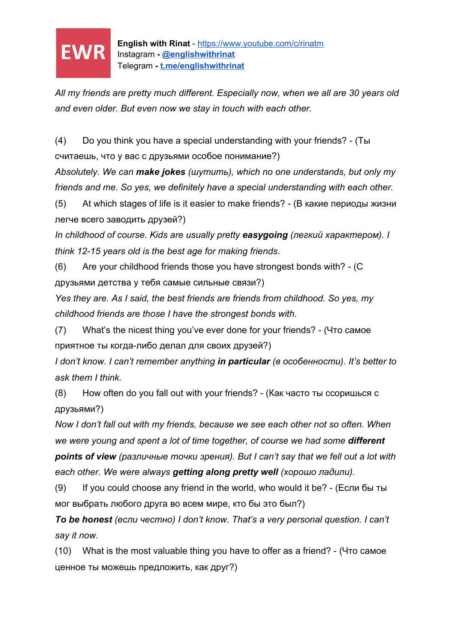

*All my friends are pretty much different. Especially now, when we all are 30 years old and even older. But even now we stay in touch with each other.*

(4) Do you think you have a special understanding with your friends? - (Ты считаешь, что у вас с друзьями особое понимание?)

*Absolutely. We can make jokes (шутить), which no one understands, but only my friends and me. So yes, we definitely have a special understanding with each other.*

(5) At which stages of life is it easier to make friends? - (В какие периоды жизни легче всего заводить друзей?)

*In childhood of course. Kids are usually pretty easygoing (легкий характером). I think 12-15 years old is the best age for making friends*.

(6) Are your childhood friends those you have strongest bonds with? - (С друзьями детства у тебя самые сильные связи?)

*Yes they are. As I said, the best friends are friends from childhood. So yes, my childhood friends are those I have the strongest bonds with.*

(7) What's the nicest thing you've ever done for your friends? - (Что самое приятное ты когда-либо делал для своих друзей?)

*I don't know. I can't remember anything in particular (в особенности). It's better to ask them I think.*

(8) How often do you fall out with your friends? - (Как часто ты ссоришься с друзьями?)

*Now I don't fall out with my friends, because we see each other not so often. When* we were young and spent a lot of time together, of course we had some **different** *points of view (различные точки зрения). But I can't say that we fell out a lot with each other. We were always getting along pretty well (хорошо ладили).*

(9) If you could choose any friend in the world, who would it be? - (Если бы ты мог выбрать любого друга во всем мире, кто бы это был?)

*To be honest (если честно) I don't know. That's a very personal question. I can't say it now.*

(10) What is the most valuable thing you have to offer as a friend? - (Что самое ценное ты можешь предложить, как друг?)